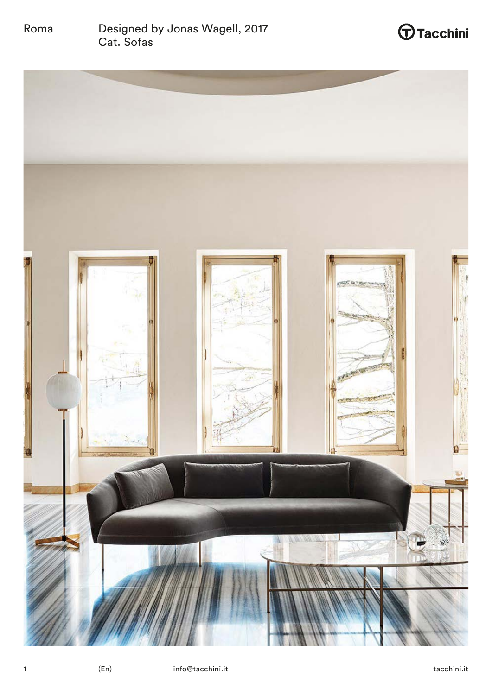

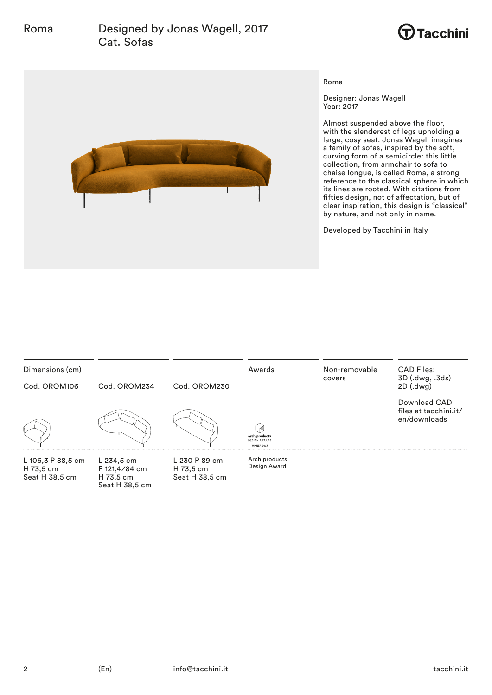

## Roma Designed by Jonas Wagell, 2017 Cat. Sofas





#### Roma

Designer: Jonas Wagell Year: 2017

Almost suspended above the floor, with the slenderest of legs upholding a large, cosy seat. Jonas Wagell imagines a family of sofas, inspired by the soft, curving form of a semicircle: this little collection, from armchair to sofa to chaise longue, is called Roma, a strong reference to the classical sphere in which its lines are rooted. With citations from fifties design, not of affectation, but of clear inspiration, this design is "classical" by nature, and not only in name.

Developed by Tacchini in Italy



H 73,5 cm Seat H 38,5 cm

L 234,5 cm P 121,4⁄84 cm H 73,5 cm Seat H 38,5 cm

L 230 P 89 cm H 73,5 cm

Seat H 38,5 cm

Design Award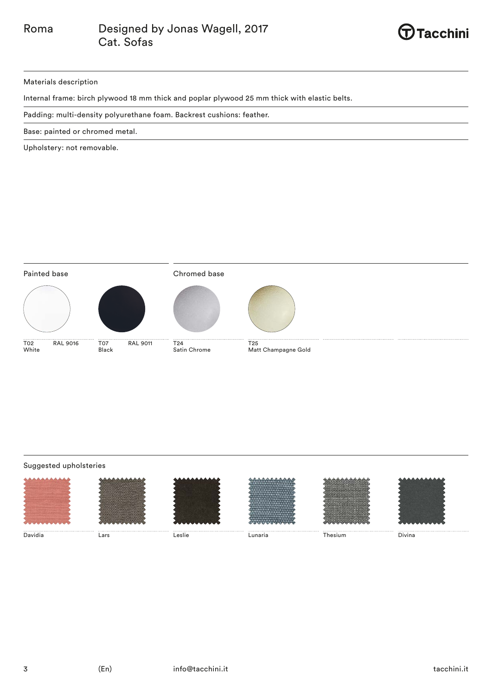

#### Materials description

Internal frame: birch plywood 18 mm thick and poplar plywood 25 mm thick with elastic belts.

Padding: multi-density polyurethane foam. Backrest cushions: feather.

Base: painted or chromed metal.

Upholstery: not removable.



### Suggested upholsteries

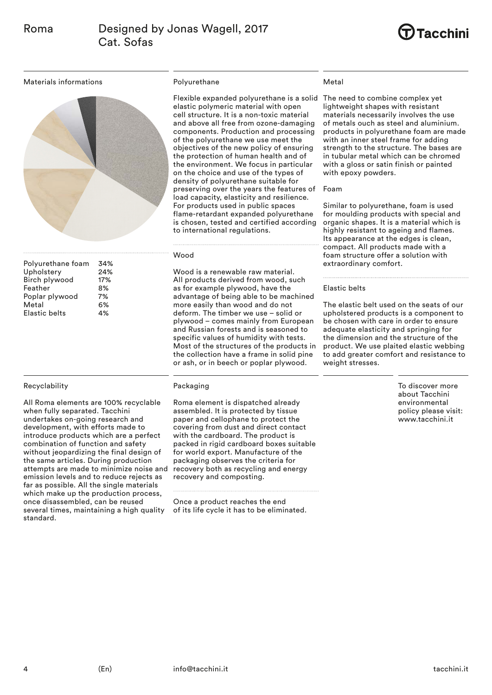

Materials informations



| Polyurethane foam | 34% |
|-------------------|-----|
| Upholstery        | 24% |
| Birch plywood     | 17% |
| Feather           | 8%  |
| Poplar plywood    | 7%  |
| Metal             | 6%  |
| Elastic belts     | 4%  |
|                   |     |

### Recyclability

All Roma elements are 100% recyclable when fully separated. Tacchini undertakes on-going research and development, with efforts made to introduce products which are a perfect combination of function and safety without jeopardizing the final design of the same articles. During production attempts are made to minimize noise and emission levels and to reduce rejects as far as possible. All the single materials which make up the production process. once disassembled, can be reused several times, maintaining a high quality standard.

#### Polyurethane

Flexible expanded polyurethane is a solid The need to combine complex yet elastic polymeric material with open cell structure. It is a non-toxic material and above all free from ozone-damaging components. Production and processing of the polyurethane we use meet the objectives of the new policy of ensuring the protection of human health and of the environment. We focus in particular on the choice and use of the types of density of polyurethane suitable for preserving over the years the features of load capacity, elasticity and resilience. For products used in public spaces flame-retardant expanded polyurethane is chosen, tested and certified according to international regulations.

#### Wood

Wood is a renewable raw material. All products derived from wood, such as for example plywood, have the advantage of being able to be machined more easily than wood and do not deform. The timber we use – solid or plywood – comes mainly from European and Russian forests and is seasoned to specific values of humidity with tests. Most of the structures of the products in the collection have a frame in solid pine or ash, or in beech or poplar plywood.

#### Packaging

Roma element is dispatched already assembled. It is protected by tissue paper and cellophane to protect the covering from dust and direct contact with the cardboard. The product is packed in rigid cardboard boxes suitable for world export. Manufacture of the packaging observes the criteria for recovery both as recycling and energy recovery and composting.

Once a product reaches the end of its life cycle it has to be eliminated.

#### Metal

lightweight shapes with resistant materials necessarily involves the use of metals ouch as steel and aluminium. products in polyurethane foam are made with an inner steel frame for adding strength to the structure. The bases are in tubular metal which can be chromed with a gloss or satin finish or painted with epoxy powders.

#### Foam

Similar to polyurethane, foam is used for moulding products with special and organic shapes. It is a material which is highly resistant to ageing and flames. Its appearance at the edges is clean, compact. All products made with a foam structure offer a solution with extraordinary comfort.

#### Elastic belts

The elastic belt used on the seats of our upholstered products is a component to be chosen with care in order to ensure adequate elasticity and springing for the dimension and the structure of the product. We use plaited elastic webbing to add greater comfort and resistance to weight stresses.

> To discover more about Tacchini environmental policy please visit: www.tacchini.it